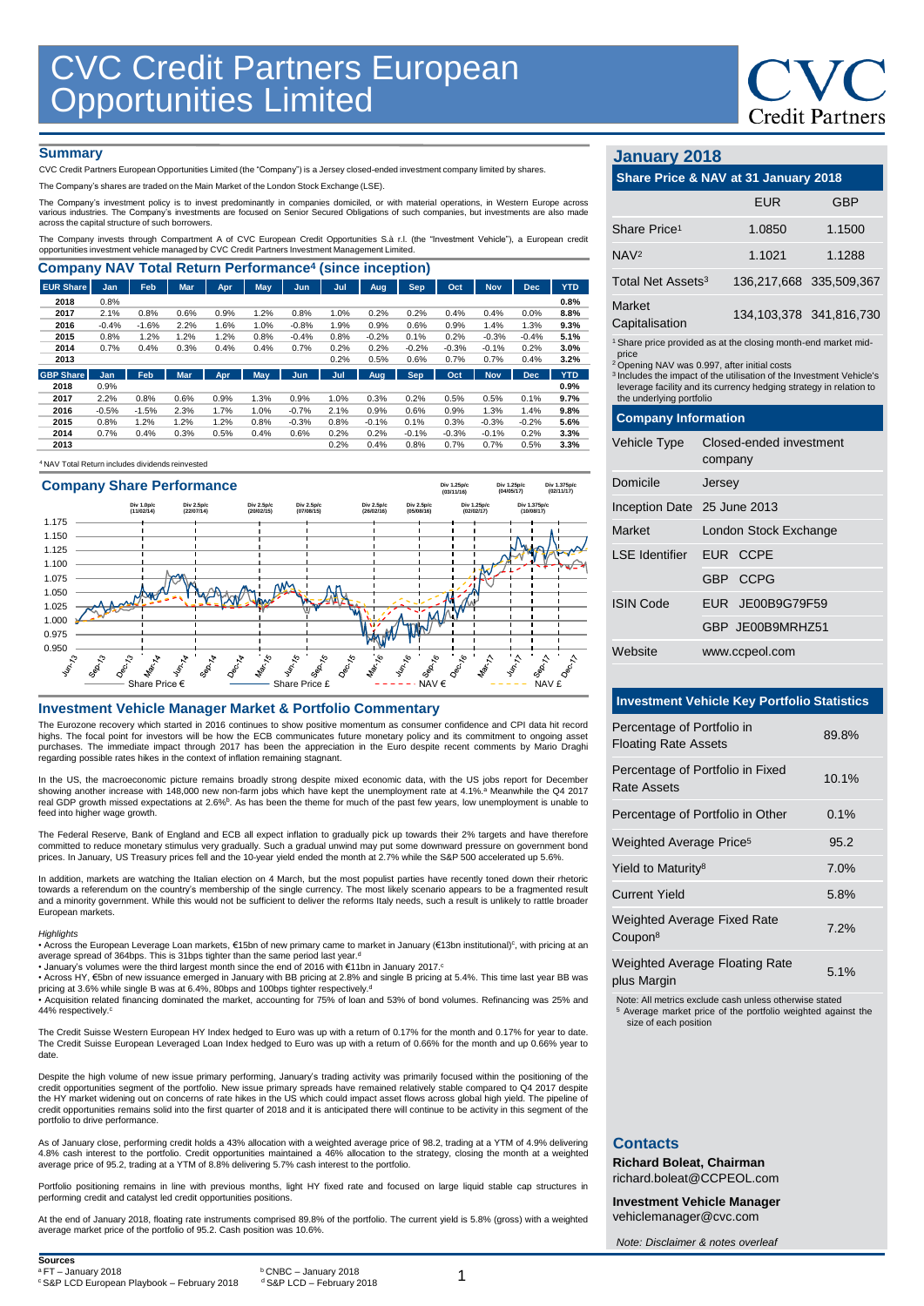

## **Summary**

CVC Credit Partners European Opportunities Limited (the "Company") is a Jersey closed-ended investment company limited by shares.

The Company's shares are traded on the Main Market of the London Stock Exchange (LSE).

The Company's investment policy is to invest predominantly in companies domiciled, or with material operations, in Western Europe across<br>various industries. The Company's investments are focused on Senior Secured Obligatio

The Company invests through Compartment A of CVC European Credit Opportunities S.à r.l. (the "Investment Vehicle"), a European credit<br>opportunities investment vehicle managed by CVC Credit Partners Investment Management Li

| <b>Company NAV Total Return Performance<sup>4</sup> (since inception)</b> |         |         |            |            |            |            |      |         |            |         |            |            |            |
|---------------------------------------------------------------------------|---------|---------|------------|------------|------------|------------|------|---------|------------|---------|------------|------------|------------|
| <b>EUR Share</b>                                                          | Jan     | Feb     | <b>Mar</b> | <b>Apr</b> | <b>May</b> | <b>Jun</b> | Jul  | Aug     | Sep.       | Oct     | <b>Nov</b> | <b>Dec</b> | <b>YTD</b> |
| 2018                                                                      | 0.8%    |         |            |            |            |            |      |         |            |         |            |            | 0.8%       |
| 2017                                                                      | 2.1%    | 0.8%    | 0.6%       | 0.9%       | 1.2%       | 0.8%       | 1.0% | 0.2%    | 0.2%       | 0.4%    | 0.4%       | 0.0%       | 8.8%       |
| 2016                                                                      | $-0.4%$ | $-1.6%$ | 2.2%       | 1.6%       | 1.0%       | $-0.8%$    | 1.9% | 0.9%    | 0.6%       | 0.9%    | 1.4%       | 1.3%       | 9.3%       |
| 2015                                                                      | 0.8%    | 1.2%    | 1.2%       | 1.2%       | 0.8%       | $-0.4%$    | 0.8% | $-0.2%$ | 0.1%       | 0.2%    | $-0.3%$    | $-0.4%$    | 5.1%       |
| 2014                                                                      | 0.7%    | 0.4%    | 0.3%       | 0.4%       | 0.4%       | 0.7%       | 0.2% | 0.2%    | $-0.2%$    | $-0.3%$ | $-0.1%$    | 0.2%       | 3.0%       |
| 2013                                                                      |         |         |            |            |            |            | 0.2% | 0.5%    | 0.6%       | 0.7%    | 0.7%       | 0.4%       | 3.2%       |
| <b>GBP Share</b>                                                          | Jan     | Feb     | <b>Mar</b> | Apr.       | May        | Jun        | Jul  | Aug     | <b>Sep</b> | Oct     | <b>Nov</b> | <b>Dec</b> | <b>YTD</b> |
| 2018                                                                      | 0.9%    |         |            |            |            |            |      |         |            |         |            |            | 0.9%       |
| 2017                                                                      | 2.2%    | 0.8%    | 0.6%       | 0.9%       | 1.3%       | 0.9%       | 1.0% | 0.3%    | 0.2%       | 0.5%    | 0.5%       | 0.1%       | 9.7%       |
| 2016                                                                      | $-0.5%$ | $-1.5%$ | 2.3%       | 1.7%       | 1.0%       | $-0.7%$    | 2.1% | 0.9%    | 0.6%       | 0.9%    | 1.3%       | 1.4%       | 9.8%       |
| 2015                                                                      | 0.8%    | 1.2%    | 1.2%       | 1.2%       | 0.8%       | $-0.3%$    | 0.8% | $-0.1%$ | 0.1%       | 0.3%    | $-0.3%$    | $-0.2%$    | 5.6%       |
| 2014                                                                      | 0.7%    | 0.4%    | 0.3%       | 0.5%       | 0.4%       | 0.6%       | 0.2% | 0.2%    | $-0.1%$    | $-0.3%$ | $-0.1%$    | 0.2%       | 3.3%       |
| 2013                                                                      |         |         |            |            |            |            | 0.2% | 0.4%    | 0.8%       | 0.7%    | 0.7%       | 0.5%       | 3.3%       |

## <sup>4</sup>NAV Total Return includes dividends reinvested



#### **Investment Vehicle Manager Market & Portfolio Commentary**

The Eurozone recovery which started in 2016 continues to show positive momentum as consumer confidence and CPI data hit record highs. The focal point for investors will be how the ECB communicates future monetary policy and its commitment to ongoing asset purchases. The immediate impact through 2017 has been the appreciation in the Euro despite recent comments by Mario Draghi regarding possible rates hikes in the context of inflation remaining stagnant.

In the US, the macroeconomic picture remains broadly strong despite mixed economic data, with the US jobs report for December<br>showing another increase with 148,000 new non-farm jobs which have kept the unemployment rate at feed into higher wage growth

The Federal Reserve, Bank of England and ECB all expect inflation to gradually pick up towards their 2% targets and have therefore committed to reduce monetary stimulus very gradually. Such a gradual unwind may put some downward pressure on government bond prices. In January, US Treasury prices fell and the 10-year yield ended the month at 2.7% while the S&P 500 accelerated up 5.6%.

In addition, markets are watching the Italian election on 4 March, but the most populist parties have recently toned down their rhetoric towards a referendum on the country's membership of the single currency. The most likely scenario appears to be a fragmented result<br>and a minority government. While this would not be sufficient to deliver the reforms Italy European markets.

#### *Highlights*

• Across the European Leverage Loan markets, €15bn of new primary came to market in January (€13bn institutional)<sup>c</sup>, with pricing at an average spread of 364bps. This is 31bps tighter than the same period last year.<sup>d</sup><br>• January's volumes were the third largest month since the end of 2016 with €11bn in January 2017.º

• Across HY, €5bn of new issuance emerged in January with BB pricing at 2.8% and single B pricing at 5.4%. This time last year BB was<br>pricing at 3.6% while single B was at 6.4%, 80bps and 100bps tighter respectively.<sup>d</sup>

• Acquisition related financing dominated the market, accounting for 75% of loan and 53% of bond volumes. Refinancing was 25% and 44% respectively. c

The Credit Suisse Western European HY Index hedged to Euro was up with a return of 0.17% for the month and 0.17% for year to date. The Credit Suisse European Leveraged Loan Index hedged to Euro was up with a return of 0.66% for the month and up 0.66% year to date.

Despite the high volume of new issue primary performing, January's trading activity was primarily focused within the positioning of the<br>credit opportunities segment of the portfolio. New issue primary spreads have remained the HY market widening out on concerns of rate hikes in the US which could impact asset flows across global high yield. The pipeline of<br>credit opportunities remains solid into the first quarter of 2018 and it is anticipate portfolio to drive performance.

As of January close, performing credit holds a 43% allocation with a weighted average price of 98.2, trading at a YTM of 4.9% delivering 4.8% cash interest to the portfolio. Credit opportunities maintained a 46% allocation to the strategy, closing the month at a weighted average price of 95.2, trading at a YTM of 8.8% delivering 5.7% cash interest to the portfolio.

Portfolio positioning remains in line with previous months, light HY fixed rate and focused on large liquid stable cap structures in performing credit and catalyst led credit opportunities positions.

At the end of January 2018, floating rate instruments comprised 89.8% of the portfolio. The current yield is 5.8% (gross) with a weighted average market price of the portfolio of 95.2. Cash position was 10.6%.

# **January 2018**

# **Share Price & NAV at 31 January 2018** EUR GBP

| Share Price <sup>1</sup>                                                                                                                                                                                                                                                                                                           |                                    | 1.0850                  | 1.1500                  |  |  |  |
|------------------------------------------------------------------------------------------------------------------------------------------------------------------------------------------------------------------------------------------------------------------------------------------------------------------------------------|------------------------------------|-------------------------|-------------------------|--|--|--|
| NAV <sub>2</sub>                                                                                                                                                                                                                                                                                                                   |                                    | 1.1021                  | 1.1288                  |  |  |  |
| Total Net Assets <sup>3</sup>                                                                                                                                                                                                                                                                                                      |                                    |                         | 136,217,668 335,509,367 |  |  |  |
| Market<br>Capitalisation                                                                                                                                                                                                                                                                                                           |                                    | 134,103,378 341,816,730 |                         |  |  |  |
| <sup>1</sup> Share price provided as at the closing month-end market mid-<br>price<br><sup>2</sup> Opening NAV was 0.997, after initial costs<br><sup>3</sup> Includes the impact of the utilisation of the Investment Vehicle's<br>leverage facility and its currency hedging strategy in relation to<br>the underlying portfolio |                                    |                         |                         |  |  |  |
| <b>Company Information</b>                                                                                                                                                                                                                                                                                                         |                                    |                         |                         |  |  |  |
| Vehicle Type                                                                                                                                                                                                                                                                                                                       | Closed-ended investment<br>company |                         |                         |  |  |  |
| Domicile<br>Jersey                                                                                                                                                                                                                                                                                                                 |                                    |                         |                         |  |  |  |
| Inception Date 25 June 2013                                                                                                                                                                                                                                                                                                        |                                    |                         |                         |  |  |  |
| Market                                                                                                                                                                                                                                                                                                                             |                                    | London Stock Exchange   |                         |  |  |  |
| <b>LSE</b> Identifier                                                                                                                                                                                                                                                                                                              |                                    | EUR CCPE                |                         |  |  |  |
|                                                                                                                                                                                                                                                                                                                                    |                                    | GBP CCPG                |                         |  |  |  |
| <b>ISIN Code</b>                                                                                                                                                                                                                                                                                                                   |                                    | EUR JE00B9G79F59        |                         |  |  |  |
|                                                                                                                                                                                                                                                                                                                                    |                                    | GBP JE00B9MRHZ51        |                         |  |  |  |
| Website                                                                                                                                                                                                                                                                                                                            |                                    | www.ccpeol.com          |                         |  |  |  |

## **Investment Vehicle Key Portfolio Statistics**

| Percentage of Portfolio in<br><b>Floating Rate Assets</b> | 89.8%   |
|-----------------------------------------------------------|---------|
| Percentage of Portfolio in Fixed<br>Rate Assets           | 10.1%   |
| Percentage of Portfolio in Other                          | 0.1%    |
| Weighted Average Price <sup>5</sup>                       | 95.2    |
| Yield to Maturity <sup>8</sup>                            | 7.0%    |
| <b>Current Yield</b>                                      | 5.8%    |
| <b>Weighted Average Fixed Rate</b><br>Coupon <sup>8</sup> | 7.2%    |
| <b>Weighted Average Floating Rate</b>                     | $E$ 10/ |

plus Margin

Note: All metrics exclude cash unless otherwise stated

<sup>5</sup> Average market price of the portfolio weighted against the size of each position

# **Contacts**

**Richard Boleat, Chairman**  richard.boleat@CCPEOL.com

**Investment Vehicle Manager** vehiclemanager@cvc.com

*Note: Disclaimer & notes overleaf*